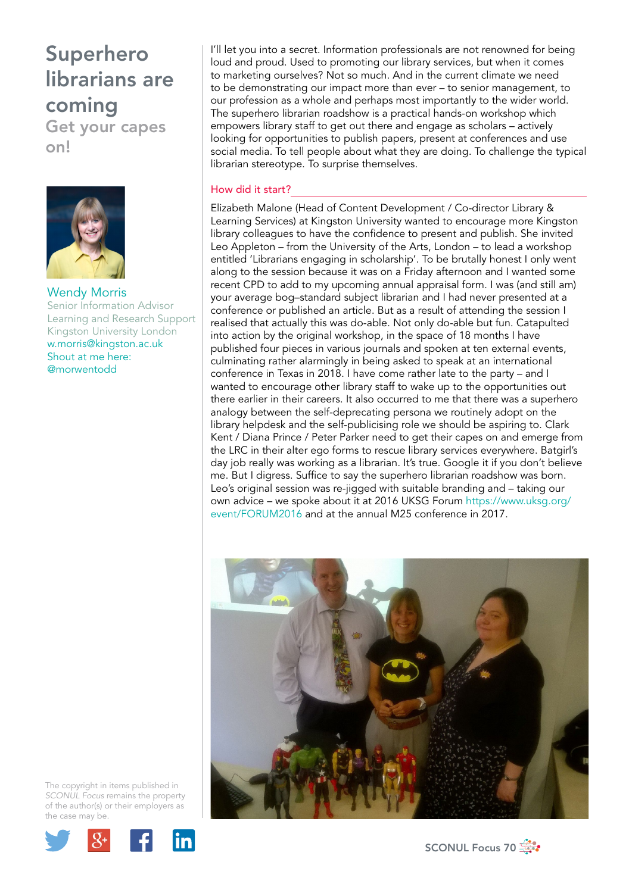Get your capes on!



Wendy Morris Senior Information Advisor Learning and Research Support Kingston University London w.morris@kingston.ac.uk Shout at me here: @morwentodd

I'll let you into a secret. Information professionals are not renowned for being loud and proud. Used to promoting our library services, but when it comes to marketing ourselves? Not so much. And in the current climate we need to be demonstrating our impact more than ever – to senior management, to our profession as a whole and perhaps most importantly to the wider world. The superhero librarian roadshow is a practical hands-on workshop which empowers library staff to get out there and engage as scholars – actively looking for opportunities to publish papers, present at conferences and use social media. To tell people about what they are doing. To challenge the typical librarian stereotype. To surprise themselves.

#### How did it start?

Elizabeth Malone (Head of Content Development / Co-director Library & Learning Services) at Kingston University wanted to encourage more Kingston library colleagues to have the confidence to present and publish. She invited Leo Appleton – from the University of the Arts, London – to lead a workshop entitled 'Librarians engaging in scholarship'. To be brutally honest I only went along to the session because it was on a Friday afternoon and I wanted some recent CPD to add to my upcoming annual appraisal form. I was (and still am) your average bog–standard subject librarian and I had never presented at a conference or published an article. But as a result of attending the session I realised that actually this was do-able. Not only do-able but fun. Catapulted into action by the original workshop, in the space of 18 months I have published four pieces in various journals and spoken at ten external events, culminating rather alarmingly in being asked to speak at an international conference in Texas in 2018. I have come rather late to the party – and I wanted to encourage other library staff to wake up to the opportunities out there earlier in their careers. It also occurred to me that there was a superhero analogy between the self-deprecating persona we routinely adopt on the library helpdesk and the self-publicising role we should be aspiring to. Clark Kent / Diana Prince / Peter Parker need to get their capes on and emerge from the LRC in their alter ego forms to rescue library services everywhere. Batgirl's day job really was working as a librarian. It's true. Google it if you don't believe me. But I digress. Suffice to say the superhero librarian roadshow was born. Leo's original session was re-jigged with suitable branding and – taking our own advice – we spoke about it at 2016 UKSG Forum https://www.uksg.org/ event/FORUM2016 and at the annual M25 conference in 2017.



The copyright in items published in *SCONUL Focus* remains the property of the author(s) or their employers as the case may be.



SCONUL Focus 70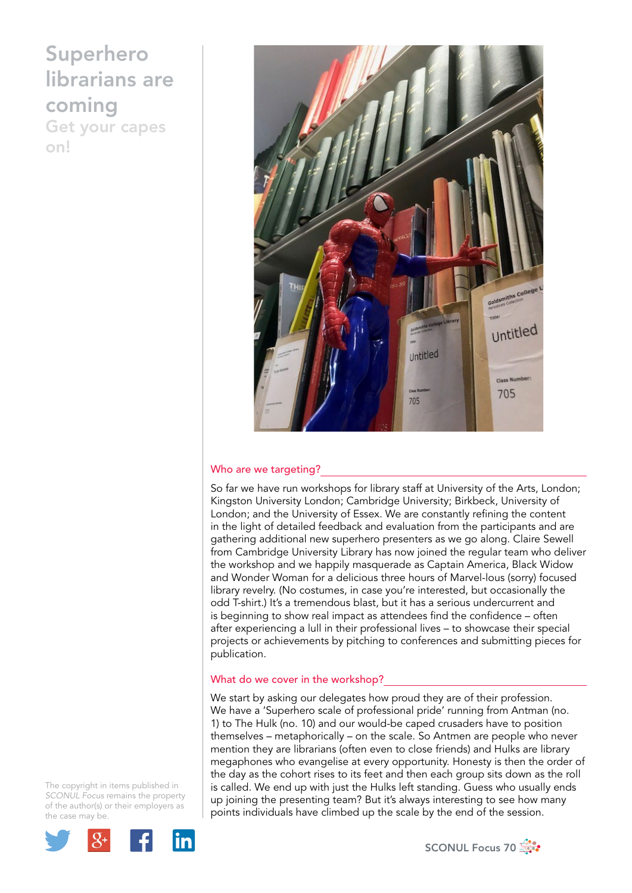Get your capes on!



#### Who are we targeting?

So far we have run workshops for library staff at University of the Arts, London; Kingston University London; Cambridge University; Birkbeck, University of London; and the University of Essex. We are constantly refining the content in the light of detailed feedback and evaluation from the participants and are gathering additional new superhero presenters as we go along. Claire Sewell from Cambridge University Library has now joined the regular team who deliver the workshop and we happily masquerade as Captain America, Black Widow and Wonder Woman for a delicious three hours of Marvel-lous (sorry) focused library revelry. (No costumes, in case you're interested, but occasionally the odd T-shirt.) It's a tremendous blast, but it has a serious undercurrent and is beginning to show real impact as attendees find the confidence – often after experiencing a lull in their professional lives – to showcase their special projects or achievements by pitching to conferences and submitting pieces for publication.

#### What do we cover in the workshop?

We start by asking our delegates how proud they are of their profession. We have a 'Superhero scale of professional pride' running from Antman (no. 1) to The Hulk (no. 10) and our would-be caped crusaders have to position themselves – metaphorically – on the scale. So Antmen are people who never mention they are librarians (often even to close friends) and Hulks are library megaphones who evangelise at every opportunity. Honesty is then the order of the day as the cohort rises to its feet and then each group sits down as the roll is called. We end up with just the Hulks left standing. Guess who usually ends up joining the presenting team? But it's always interesting to see how many points individuals have climbed up the scale by the end of the session.

The copyright in items published in *SCONUL Focus* remains the property of the author(s) or their employers as the case may be.



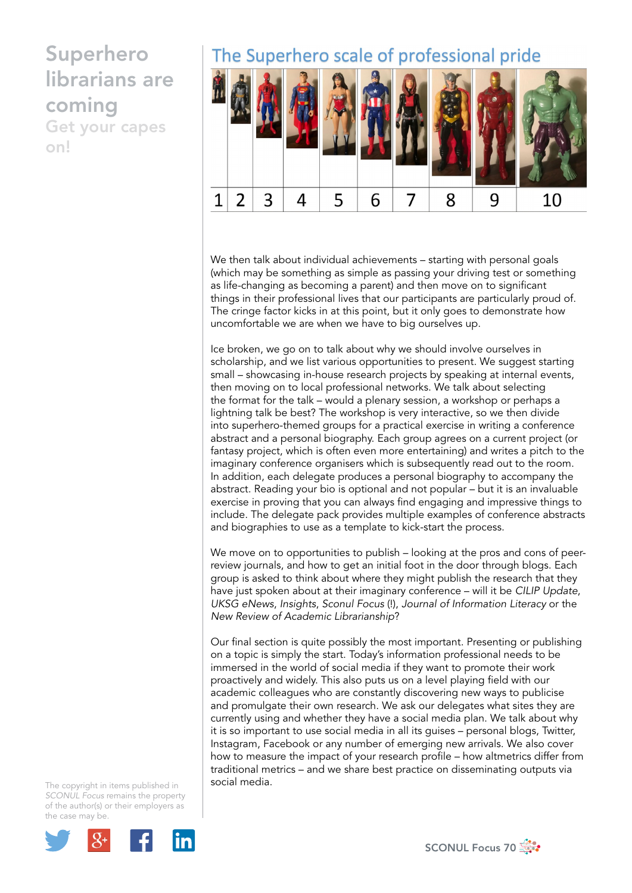Get your capes on!

### The Superhero scale of professional pride



We then talk about individual achievements – starting with personal goals (which may be something as simple as passing your driving test or something as life-changing as becoming a parent) and then move on to significant things in their professional lives that our participants are particularly proud of. The cringe factor kicks in at this point, but it only goes to demonstrate how uncomfortable we are when we have to big ourselves up.

Ice broken, we go on to talk about why we should involve ourselves in scholarship, and we list various opportunities to present. We suggest starting small – showcasing in-house research projects by speaking at internal events, then moving on to local professional networks. We talk about selecting the format for the talk – would a plenary session, a workshop or perhaps a lightning talk be best? The workshop is very interactive, so we then divide into superhero-themed groups for a practical exercise in writing a conference abstract and a personal biography. Each group agrees on a current project (or fantasy project, which is often even more entertaining) and writes a pitch to the imaginary conference organisers which is subsequently read out to the room. In addition, each delegate produces a personal biography to accompany the abstract. Reading your bio is optional and not popular – but it is an invaluable exercise in proving that you can always find engaging and impressive things to include. The delegate pack provides multiple examples of conference abstracts and biographies to use as a template to kick-start the process.

We move on to opportunities to publish – looking at the pros and cons of peerreview journals, and how to get an initial foot in the door through blogs. Each group is asked to think about where they might publish the research that they have just spoken about at their imaginary conference – will it be *CILIP Update*, *UKSG eNews*, *Insights*, *Sconul Focus* (!), *Journal of Information Literacy* or the *New Review of Academic Librarianship*?

Our final section is quite possibly the most important. Presenting or publishing on a topic is simply the start. Today's information professional needs to be immersed in the world of social media if they want to promote their work proactively and widely. This also puts us on a level playing field with our academic colleagues who are constantly discovering new ways to publicise and promulgate their own research. We ask our delegates what sites they are currently using and whether they have a social media plan. We talk about why it is so important to use social media in all its guises – personal blogs, Twitter, Instagram, Facebook or any number of emerging new arrivals. We also cover how to measure the impact of your research profile – how altmetrics differ from traditional metrics – and we share best practice on disseminating outputs via social media.

The copyright in items published in *SCONUL Focus* remains the property of the author(s) or their employers as the case may be.